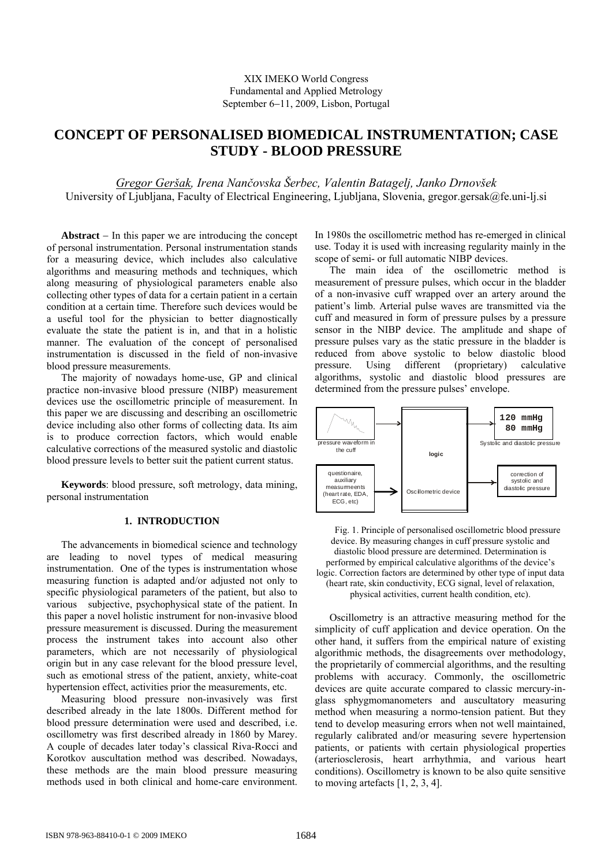# **CONCEPT OF PERSONALISED BIOMEDICAL INSTRUMENTATION; CASE STUDY - BLOOD PRESSURE**

*Gregor Geršak, Irena Nančovska Šerbec, Valentin Batagelj, Janko Drnovšek*  University of Ljubljana, Faculty of Electrical Engineering, Ljubljana, Slovenia, gregor.gersak@fe.uni-lj.si

**Abstract** − In this paper we are introducing the concept of personal instrumentation. Personal instrumentation stands for a measuring device, which includes also calculative algorithms and measuring methods and techniques, which along measuring of physiological parameters enable also collecting other types of data for a certain patient in a certain condition at a certain time. Therefore such devices would be a useful tool for the physician to better diagnostically evaluate the state the patient is in, and that in a holistic manner. The evaluation of the concept of personalised instrumentation is discussed in the field of non-invasive blood pressure measurements.

The majority of nowadays home-use, GP and clinical practice non-invasive blood pressure (NIBP) measurement devices use the oscillometric principle of measurement. In this paper we are discussing and describing an oscillometric device including also other forms of collecting data. Its aim is to produce correction factors, which would enable calculative corrections of the measured systolic and diastolic blood pressure levels to better suit the patient current status.

**Keywords**: blood pressure, soft metrology, data mining, personal instrumentation

## **1. INTRODUCTION**

The advancements in biomedical science and technology are leading to novel types of medical measuring instrumentation. One of the types is instrumentation whose measuring function is adapted and/or adjusted not only to specific physiological parameters of the patient, but also to various subjective, psychophysical state of the patient. In this paper a novel holistic instrument for non-invasive blood pressure measurement is discussed. During the measurement process the instrument takes into account also other parameters, which are not necessarily of physiological origin but in any case relevant for the blood pressure level, such as emotional stress of the patient, anxiety, white-coat hypertension effect, activities prior the measurements, etc.

Measuring blood pressure non-invasively was first described already in the late 1800s. Different method for blood pressure determination were used and described, i.e. oscillometry was first described already in 1860 by Marey. A couple of decades later today's classical Riva-Rocci and Korotkov auscultation method was described. Nowadays, these methods are the main blood pressure measuring methods used in both clinical and home-care environment.

In 1980s the oscillometric method has re-emerged in clinical use. Today it is used with increasing regularity mainly in the scope of semi- or full automatic NIBP devices.

The main idea of the oscillometric method is measurement of pressure pulses, which occur in the bladder of a non-invasive cuff wrapped over an artery around the patient's limb. Arterial pulse waves are transmitted via the cuff and measured in form of pressure pulses by a pressure sensor in the NIBP device. The amplitude and shape of pressure pulses vary as the static pressure in the bladder is reduced from above systolic to below diastolic blood pressure. Using different (proprietary) calculative algorithms, systolic and diastolic blood pressures are determined from the pressure pulses' envelope.



Fig. 1. Principle of personalised oscillometric blood pressure device. By measuring changes in cuff pressure systolic and diastolic blood pressure are determined. Determination is performed by empirical calculative algorithms of the device's logic. Correction factors are determined by other type of input data (heart rate, skin conductivity, ECG signal, level of relaxation, physical activities, current health condition, etc).

Oscillometry is an attractive measuring method for the simplicity of cuff application and device operation. On the other hand, it suffers from the empirical nature of existing algorithmic methods, the disagreements over methodology, the proprietarily of commercial algorithms, and the resulting problems with accuracy. Commonly, the oscillometric devices are quite accurate compared to classic mercury-inglass sphygmomanometers and auscultatory measuring method when measuring a normo-tension patient. But they tend to develop measuring errors when not well maintained, regularly calibrated and/or measuring severe hypertension patients, or patients with certain physiological properties (arteriosclerosis, heart arrhythmia, and various heart conditions). Oscillometry is known to be also quite sensitive to moving artefacts [1, 2, 3, 4].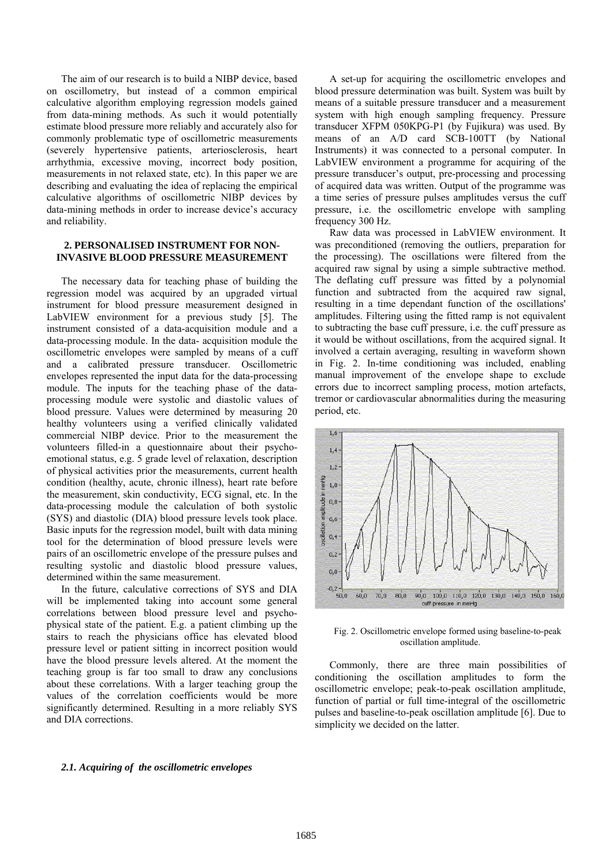The aim of our research is to build a NIBP device, based on oscillometry, but instead of a common empirical calculative algorithm employing regression models gained from data-mining methods. As such it would potentially estimate blood pressure more reliably and accurately also for commonly problematic type of oscillometric measurements (severely hypertensive patients, arteriosclerosis, heart arrhythmia, excessive moving, incorrect body position, measurements in not relaxed state, etc). In this paper we are describing and evaluating the idea of replacing the empirical calculative algorithms of oscillometric NIBP devices by data-mining methods in order to increase device's accuracy and reliability.

## **2. PERSONALISED INSTRUMENT FOR NON-INVASIVE BLOOD PRESSURE MEASUREMENT**

The necessary data for teaching phase of building the regression model was acquired by an upgraded virtual instrument for blood pressure measurement designed in LabVIEW environment for a previous study [5]. The instrument consisted of a data-acquisition module and a data-processing module. In the data- acquisition module the oscillometric envelopes were sampled by means of a cuff and a calibrated pressure transducer. Oscillometric envelopes represented the input data for the data-processing module. The inputs for the teaching phase of the dataprocessing module were systolic and diastolic values of blood pressure. Values were determined by measuring 20 healthy volunteers using a verified clinically validated commercial NIBP device. Prior to the measurement the volunteers filled-in a questionnaire about their psychoemotional status, e.g. 5 grade level of relaxation, description of physical activities prior the measurements, current health condition (healthy, acute, chronic illness), heart rate before the measurement, skin conductivity, ECG signal, etc. In the data-processing module the calculation of both systolic (SYS) and diastolic (DIA) blood pressure levels took place. Basic inputs for the regression model, built with data mining tool for the determination of blood pressure levels were pairs of an oscillometric envelope of the pressure pulses and resulting systolic and diastolic blood pressure values, determined within the same measurement.

In the future, calculative corrections of SYS and DIA will be implemented taking into account some general correlations between blood pressure level and psychophysical state of the patient. E.g. a patient climbing up the stairs to reach the physicians office has elevated blood pressure level or patient sitting in incorrect position would have the blood pressure levels altered. At the moment the teaching group is far too small to draw any conclusions about these correlations. With a larger teaching group the values of the correlation coefficients would be more significantly determined. Resulting in a more reliably SYS and DIA corrections.

A set-up for acquiring the oscillometric envelopes and blood pressure determination was built. System was built by means of a suitable pressure transducer and a measurement system with high enough sampling frequency. Pressure transducer XFPM 050KPG-P1 (by Fujikura) was used. By means of an A/D card SCB-100TT (by National Instruments) it was connected to a personal computer. In LabVIEW environment a programme for acquiring of the pressure transducer's output, pre-processing and processing of acquired data was written. Output of the programme was a time series of pressure pulses amplitudes versus the cuff pressure, i.e. the oscillometric envelope with sampling frequency 300 Hz.

Raw data was processed in LabVIEW environment. It was preconditioned (removing the outliers, preparation for the processing). The oscillations were filtered from the acquired raw signal by using a simple subtractive method. The deflating cuff pressure was fitted by a polynomial function and subtracted from the acquired raw signal, resulting in a time dependant function of the oscillations' amplitudes. Filtering using the fitted ramp is not equivalent to subtracting the base cuff pressure, i.e. the cuff pressure as it would be without oscillations, from the acquired signal. It involved a certain averaging, resulting in waveform shown in Fig. 2. In-time conditioning was included, enabling manual improvement of the envelope shape to exclude errors due to incorrect sampling process, motion artefacts, tremor or cardiovascular abnormalities during the measuring period, etc.



Fig. 2. Oscillometric envelope formed using baseline-to-peak oscillation amplitude.

Commonly, there are three main possibilities of conditioning the oscillation amplitudes to form the oscillometric envelope; peak-to-peak oscillation amplitude, function of partial or full time-integral of the oscillometric pulses and baseline-to-peak oscillation amplitude [6]. Due to simplicity we decided on the latter.

#### *2.1. Acquiring of the oscillometric envelopes*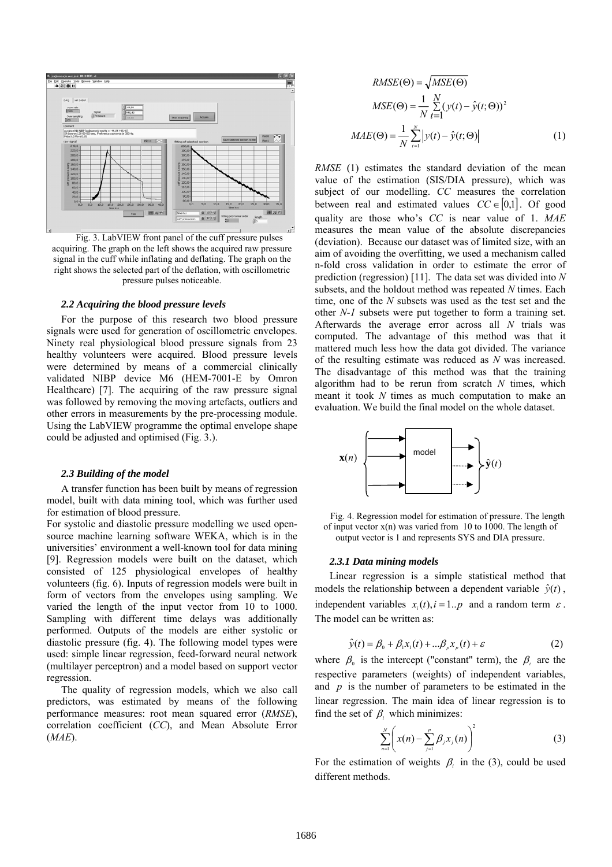

Fig. 3. LabVIEW front panel of the cuff pressure pulses acquiring. The graph on the left shows the acquired raw pressure signal in the cuff while inflating and deflating. The graph on the right shows the selected part of the deflation, with oscillometric pressure pulses noticeable.

#### *2.2 Acquiring the blood pressure levels*

For the purpose of this research two blood pressure signals were used for generation of oscillometric envelopes. Ninety real physiological blood pressure signals from 23 healthy volunteers were acquired. Blood pressure levels were determined by means of a commercial clinically validated NIBP device M6 (HEM-7001-E by Omron Healthcare) [7]. The acquiring of the raw pressure signal was followed by removing the moving artefacts, outliers and other errors in measurements by the pre-processing module. Using the LabVIEW programme the optimal envelope shape could be adjusted and optimised (Fig. 3.).

## *2.3 Building of the model*

A transfer function has been built by means of regression model, built with data mining tool, which was further used for estimation of blood pressure.

For systolic and diastolic pressure modelling we used opensource machine learning software WEKA, which is in the universities' environment a well-known tool for data mining [9]. Regression models were built on the dataset, which consisted of 125 physiological envelopes of healthy volunteers (fig. 6). Inputs of regression models were built in form of vectors from the envelopes using sampling. We varied the length of the input vector from 10 to 1000. Sampling with different time delays was additionally performed. Outputs of the models are either systolic or diastolic pressure (fig. 4). The following model types were used: simple linear regression, feed-forward neural network (multilayer perceptron) and a model based on support vector regression.

The quality of regression models, which we also call predictors, was estimated by means of the following performance measures: root mean squared error (*RMSE*), correlation coefficient (*CC*), and Mean Absolute Error (*MAE*).

$$
RMSE(\Theta) = \sqrt{MSE(\Theta)}
$$
  
\n
$$
MSE(\Theta) = \frac{1}{N} \sum_{t=1}^{N} (y(t) - \hat{y}(t; \Theta))^2
$$
  
\n
$$
MAE(\Theta) = \frac{1}{N} \sum_{t=1}^{N} |y(t) - \hat{y}(t; \Theta)|
$$
\n(1)

*RMSE* (1) estimates the standard deviation of the mean value of the estimation (SIS/DIA pressure), which was subject of our modelling. *CC* measures the correlation between real and estimated values  $CC \in [0,1]$ . Of good quality are those who's *CC* is near value of 1. *MAE* measures the mean value of the absolute discrepancies (deviation). Because our dataset was of limited size, with an aim of avoiding the overfitting, we used a mechanism called n-fold cross validation in order to estimate the error of prediction (regression) [11]. The data set was divided into *N* subsets, and the holdout method was repeated *N* times. Each time, one of the *N* subsets was used as the test set and the other *N-1* subsets were put together to form a training set. Afterwards the average error across all *N* trials was computed. The advantage of this method was that it mattered much less how the data got divided. The variance of the resulting estimate was reduced as *N* was increased. The disadvantage of this method was that the training algorithm had to be rerun from scratch *N* times, which meant it took *N* times as much computation to make an evaluation. We build the final model on the whole dataset.



Fig. 4. Regression model for estimation of pressure. The length of input vector  $x(n)$  was varied from 10 to 1000. The length of output vector is 1 and represents SYS and DIA pressure.

#### *2.3.1 Data mining models*

Linear regression is a simple statistical method that models the relationship between a dependent variable  $\hat{y}(t)$ , independent variables  $x_i(t)$ ,  $i = 1..p$  and a random term  $\varepsilon$ . The model can be written as:

$$
\hat{y}(t) = \beta_0 + \beta_1 x_1(t) + \dots \beta_p x_p(t) + \varepsilon \tag{2}
$$

where  $\beta_0$  is the intercept ("constant" term), the  $\beta_i$  are the respective parameters (weights) of independent variables, and *p* is the number of parameters to be estimated in the linear regression. The main idea of linear regression is to find the set of  $\beta$  which minimizes:

$$
\sum_{n=1}^{N} \left( x(n) - \sum_{j=1}^{p} \beta_j x_j(n) \right)^2
$$
 (3)

For the estimation of weights  $\beta_i$  in the (3), could be used different methods.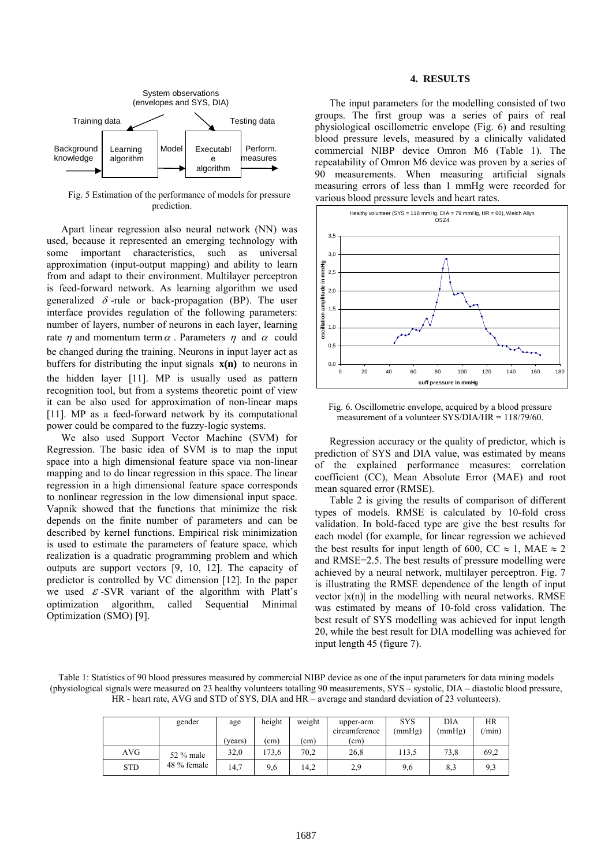

Fig. 5 Estimation of the performance of models for pressure prediction.

Apart linear regression also neural network (NN) was used, because it represented an emerging technology with some important characteristics, such as universal approximation (input-output mapping) and ability to learn from and adapt to their environment. Multilayer perceptron is feed-forward network. As learning algorithm we used generalized  $\delta$ -rule or back-propagation (BP). The user interface provides regulation of the following parameters: number of layers, number of neurons in each layer, learning rate  $\eta$  and momentum term  $\alpha$ . Parameters  $\eta$  and  $\alpha$  could be changed during the training. Neurons in input layer act as buffers for distributing the input signals **x(n)** to neurons in the hidden layer [11]. MP is usually used as pattern recognition tool, but from a systems theoretic point of view it can be also used for approximation of non-linear maps [11]. MP as a feed-forward network by its computational power could be compared to the fuzzy-logic systems.

We also used Support Vector Machine (SVM) for Regression. The basic idea of SVM is to map the input space into a high dimensional feature space via non-linear mapping and to do linear regression in this space. The linear regression in a high dimensional feature space corresponds to nonlinear regression in the low dimensional input space. Vapnik showed that the functions that minimize the risk depends on the finite number of parameters and can be described by kernel functions. Empirical risk minimization is used to estimate the parameters of feature space, which realization is a quadratic programming problem and which outputs are support vectors [9, 10, 12]. The capacity of predictor is controlled by VC dimension [12]. In the paper we used  $\epsilon$ -SVR variant of the algorithm with Platt's optimization algorithm, called Sequential Minimal Optimization (SMO) [9].

# **4. RESULTS**

The input parameters for the modelling consisted of two groups. The first group was a series of pairs of real physiological oscillometric envelope (Fig. 6) and resulting blood pressure levels, measured by a clinically validated commercial NIBP device Omron M6 (Table 1). The repeatability of Omron M6 device was proven by a series of 90 measurements. When measuring artificial signals measuring errors of less than 1 mmHg were recorded for various blood pressure levels and heart rates.



Fig. 6. Oscillometric envelope, acquired by a blood pressure measurement of a volunteer SYS/DIA/HR = 118/79/60.

Regression accuracy or the quality of predictor, which is prediction of SYS and DIA value, was estimated by means of the explained performance measures: correlation coefficient (CC), Mean Absolute Error (MAE) and root mean squared error (RMSE).

Table 2 is giving the results of comparison of different types of models. RMSE is calculated by 10-fold cross validation. In bold-faced type are give the best results for each model (for example, for linear regression we achieved the best results for input length of 600, CC  $\approx$  1, MAE  $\approx$  2 and RMSE=2.5. The best results of pressure modelling were achieved by a neural network, multilayer perceptron. Fig. 7 is illustrating the RMSE dependence of the length of input vector  $|x(n)|$  in the modelling with neural networks. RMSE was estimated by means of 10-fold cross validation. The best result of SYS modelling was achieved for input length 20, while the best result for DIA modelling was achieved for input length 45 (figure 7).

Table 1: Statistics of 90 blood pressures measured by commercial NIBP device as one of the input parameters for data mining models (physiological signals were measured on 23 healthy volunteers totalling 90 measurements, SYS – systolic, DIA – diastolic blood pressure, HR - heart rate, AVG and STD of SYS, DIA and HR – average and standard deviation of 23 volunteers).

|            | gender      | age     | height<br>weight |      | upper-arm<br>circumference | <b>SYS</b><br>(mmHg) | DIA<br>(mmHg) | HR<br>$(\min)$ |
|------------|-------------|---------|------------------|------|----------------------------|----------------------|---------------|----------------|
|            |             | (vears) | (cm)             | (cm) | (cm)                       |                      |               |                |
| AVG.       | 52 % male   | 32,0    | 173.6            | 70.2 | 26,8                       | 113.5                | 73.8          | 69,2           |
| <b>STD</b> | 48 % female | 14,7    | 9,6              | 14,2 | 2,9                        | 9,6                  | 8,3           | 9,3            |